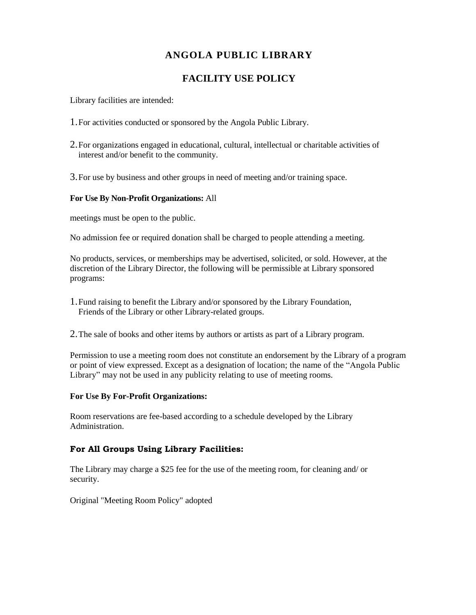# **ANGOLA PUBLIC LIBRARY**

## **FACILITY USE POLICY**

Library facilities are intended:

- 1.For activities conducted or sponsored by the Angola Public Library.
- 2.For organizations engaged in educational, cultural, intellectual or charitable activities of interest and/or benefit to the community.
- 3.For use by business and other groups in need of meeting and/or training space.

#### **For Use By Non-Profit Organizations:** All

meetings must be open to the public.

No admission fee or required donation shall be charged to people attending a meeting.

No products, services, or memberships may be advertised, solicited, or sold. However, at the discretion of the Library Director, the following will be permissible at Library sponsored programs:

- 1.Fund raising to benefit the Library and/or sponsored by the Library Foundation, Friends of the Library or other Library-related groups.
- 2.The sale of books and other items by authors or artists as part of a Library program.

Permission to use a meeting room does not constitute an endorsement by the Library of a program or point of view expressed. Except as a designation of location; the name of the "Angola Public Library" may not be used in any publicity relating to use of meeting rooms.

#### **For Use By For-Profit Organizations:**

Room reservations are fee-based according to a schedule developed by the Library Administration.

### **For All Groups Using Library Facilities:**

The Library may charge a \$25 fee for the use of the meeting room, for cleaning and/ or security.

Original "Meeting Room Policy" adopted